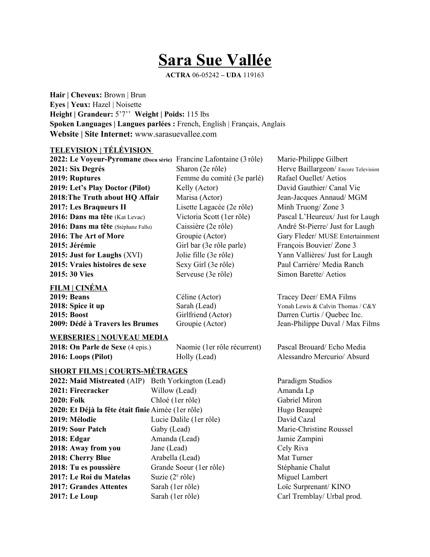# **Sara Sue Vallée**

**ACTRA** 06-05242 **– UDA** 119163

**Hair | Cheveux:** Brown | Brun **Eyes | Yeux:** Hazel | Noisette **Height | Grandeur:** 5'7'' **Weight | Poids:** 115 lbs **Spoken Languages | Langues parlées :** French, English | Français, Anglais **Website | Site Internet:** [www.sarasuevallee.com](http://www.sarasuevallee.com/)

# **TELEVISION | TÉLÉVISION**

**2022: Le Voyeur-Pyromane (Docu série)** Francine Lafontaine (3 rôle) Marie-Philippe Gilbert **2021: Six Degrés** Sharon (2e rôle) Herve Baillargeon/ Encore Television **2019: Ruptures** Femme du comité (3e parlé) Rafael Ouellet/ Aetios **2019: Let's Play Doctor (Pilot)** Kelly (Actor) David Gauthier/ Canal Vie **2018:The Truth about HQ Affair** Marisa (Actor) Jean-Jacques Annaud/ MGM **2017: Les Braqueurs II** Lisette Lagacée (2e rôle) Minh Truong/ Zone 3 **2016: Dans ma tête** (Kat Levac) Victoria Scott (1er rôle) Pascal L'Heureux/ Just for Laugh **2016: Dans ma tête** (Stéphane Fallu) Caissière (2e rôle) André St-Pierre/ Just for Laugh **2016: The Art of More** Groupie (Actor) Gary Fleder/ MUSE Entertainment **2015: Jérémie** Girl bar (3e rôle parle) François Bouvier/ Zone 3 **2015: Just for Laughs** (XVI) Jolie fille (3e rôle) Yann Vallières/ Just for Laugh **2015: Vraies histoires de sexe** Sexy Girl (3e rôle) Paul Carrière/ Media Ranch **2015: 30 Vies** Serveuse (3e rôle) Simon Barette/ Aetios

### **FILM | CINÉMA**

**2019: Beans** Céline (Actor) Tracey Deer/ EMA Films **2018: Spice it up** Sarah (Lead) Yonah Lewis & Calvin Thomas / C&Y **2015: Boost** Girlfriend (Actor) Darren Curtis / Quebec Inc. **2009: Dédé à Travers les Brumes** Groupie (Actor) Jean-Philippe Duval / Max Films

# **WEBSERIES | NOUVEAU MEDIA**

**2018: On Parle de Sexe** (4 epis.) Naomie (1er rôle récurrent) Pascal Brouard/ Echo Media **2016: Loops (Pilot) Holly (Lead) Alessandro Mercurio/ Absurd** 

# **SHORT FILMS | COURTS-MÉTRAGES**

| 2022: Maid Mistreated (AIP)                        | Beth Yorkington (Lead)     |
|----------------------------------------------------|----------------------------|
| 2021: Firecracker                                  | Willow (Lead)              |
| 2020: Folk                                         | Chloé (1er rôle)           |
| 2020: Et Déjà la fête était finie Aimée (1er rôle) |                            |
| 2019: Mélodie                                      | Lucie Dalile (1er rôle)    |
| 2019: Sour Patch                                   | Gaby (Lead)                |
| 2018: Edgar                                        | Amanda (Lead)              |
| 2018: Away from you                                | Jane (Lead)                |
| 2018: Cherry Blue                                  | Arabella (Lead)            |
| 2018: Tu es poussière                              | Grande Soeur (1 er rôle)   |
| 2017: Le Roi du Matelas                            | Suzie $(2^e \text{ rôle})$ |
| <b>2017: Grandes Attentes</b>                      | Sarah (1er rôle)           |
| 2017: Le Loup                                      | Sarah (1er rôle)           |

Paradigm Studios Amanda Lp Gabriel Miron **Hugo Beaupré** David Cazal **Marie-Christine Roussel Jamie Zampini 2018: Cely Riva Mat Turner 2018: Stéphanie Chalut** Miguel Lambert Loïc Surprenant/ KINO Carl Tremblay/ Urbal prod.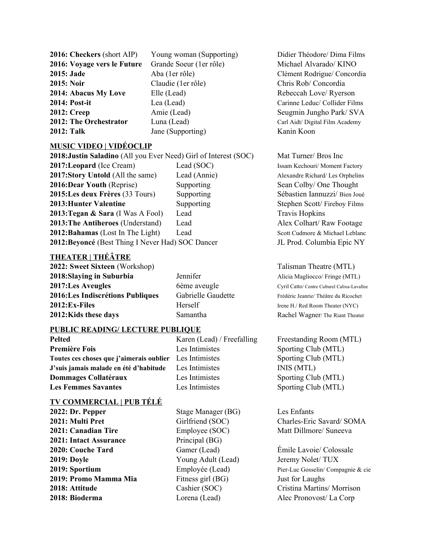**2016: Checkers** (short AIP) Young woman (Supporting) Didier Théodore/ Dima Films **2016: Voyage vers le Future** Grande Soeur (1er rôle) Michael Alvarado/ KINO **2015: Jade Aba** (1er rôle) **Clément Rodrigue/ Concordia Clément Rodrigue/ Concordia 2015: Noir** Claudie (1er rôle) Chris Rob/ Concordia **2014: Abacus My Love** Elle (Lead) Rebeccah Love/ Ryerson **2014: Post-it** Lea (Lead) Carinne Leduc/ Collider Films **2012: Creep** Amie (Lead) Seugmin Jungho Park/ SVA **2012: The Orchestrator** Luna (Lead) Carl Aidt/ Digital Film Academy **2012: Talk** Jane (Supporting) Kanin Koon

### **MUSIC VIDEO | VIDÉOCLIP**

**2018:Justin Saladino** (All you Ever Need) Girl of Interest (SOC) Mat Turner/ Bros Inc **2017: Leopard (Ice Cream)** Lead (SOC) Issam Kechouri/ Moment Factory **2017:Story Untold (All the same)** Lead (Annie) Alexandre Richard/ Les Orphelins **2016:Dear Youth** (Reprise) Supporting Sean Colby/ One Thought **2015:Les deux Frères** (33 Tours) Supporting Sébastien Iannuzzi/ Bien Joué **2013: Hunter Valentine** Supporting Stephen Scott/ Fireboy Films **2013: Tegan & Sara** (I Was A Fool) Lead Travis Hopkins **2013: The Antiheroes** (Understand) Lead Alex Colhart/ Raw Footage **2012: Bahamas** (Lost In The Light) Lead Scott Cudmore & Michael Leblanc **2012:Beyoncé** (Best Thing I Never Had) SOC Dancer JL Prod. Columbia Epic NY

# **THEATER | THÉÂTRE**

**2022: Sweet Sixteen** (Workshop) Talisman Theatre (MTL) **2018: Slaying in Suburbia** *Jennifer Jennifer* Alicia Magliocco/ Fringe (MTL) **2017:Les Aveugles** 6ème aveugle Cyril Catto/ Centre Culturel Calixa-Lavallee 2016:Les Indiscrétions Publiques Gabrielle Gaudette Frédéric Jeanrie/ Théâtre du Ricochet **2012: Ex-Files** Herself Irene H./ Red Room Theater (NYC) **2012: Kids these days** Samantha Rachel Wagner/ The Riant Theater

### **PUBLIC READING/ LECTURE PUBLIQUE**

**Première Fois Les Intimistes** Sporting Club (MTL) **Toutes ces choses que j'aimerais oublier** Les Intimistes Sporting Club (MTL) **J'suis jamais malade en été d'habitude** Les Intimistes INIS (MTL) **Dommages Collatéraux** Les Intimistes Sporting Club (MTL) **Les Femmes Savantes** Les Intimistes Sporting Club (MTL)

### **TV COMMERCIAL | PUB TÉLÉ**

**2022: Dr. Pepper** Stage Manager (BG) Les Enfants **2021: Canadian Tire**  Employee (SOC) Matt Dillmore/ Suneeva **2021: Intact Assurance** Principal (BG) **2020: Couche Tard** Gamer (Lead) Émile Lavoie/ Colossale **2019: Doyle 2019: Young Adult (Lead)** Jeremy Nolet/ TUX **2019: Promo Mamma Mia** Fitness girl (BG) Just for Laughs **2018: Attitude** Cashier (SOC) Cristina Martins/ Morrison **2018: Bioderma** Lorena (Lead) Alec Pronovost/ La Corp

**Pelted Karen (Lead) / Freefalling** Freestanding Room (MTL)

**2021: Multi Pret** Girlfriend (SOC) Charles-Eric Savard/ SOMA

**2019: Sportium Employée (Lead)**Pier-Luc Gosselin/ Compagnie & cie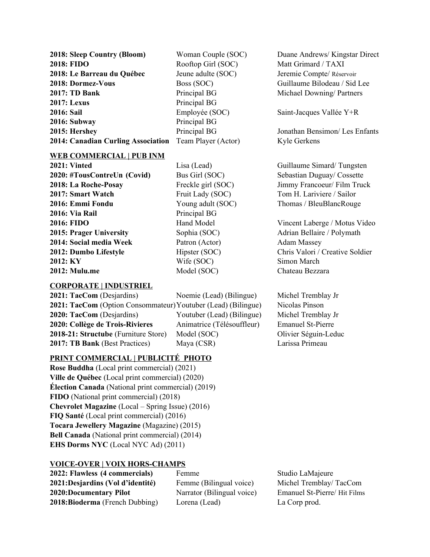**2018: Sleep Country (Bloom)** Woman Couple (SOC) Duane Andrews/ Kingstar Direct **2018: FIDO** Rooftop Girl (SOC) Matt Grimard / TAXI **2018: Le Barreau du Québec** Jeune adulte (SOC) Jeremie Compte/ Réservoir **2018: Dormez-Vous** Boss (SOC) Guillaume Bilodeau / Sid Lee **2017: TD Bank** Principal BG Michael Downing/ Partners **2017:** Lexus Principal BG **2016: Sail** Employée (SOC) Saint-Jacques Vallée Y+R **2016: Subway** Principal BG **2015: Hershey** Principal BG Jonathan Bensimon/ Les Enfants **2014: Canadian Curling Association** Team Player (Actor) Kyle Gerkens

### **WEB COMMERCIAL | PUB INM**

**2020: #TousContreUn (Covid)** Bus Girl (SOC) Sebastian Duguay/ Cossette **2018: La Roche-Posay** Freckle girl (SOC) Jimmy Francoeur/ Film Truck **2017: Smart Watch** Fruit Lady (SOC) Tom H. Lariviere / Sailor **2016: Emmi Fondu** Young adult (SOC) Thomas / BleuBlancRouge **2016: Via Rail** Principal BG **2016: FIDO** Hand Model Vincent Laberge / Motus Video **2015: Prager University** Sophia (SOC) Adrian Bellaire / Polymath **2014: Social media Week** Patron (Actor) Adam Massey **2012: Dumbo Lifestyle** Hipster (SOC) Chris Valori / Creative Soldier **2012: KY** Wife (SOC) Simon March **2012: Mulu.me** Model (SOC) Chateau Bezzara

### **CORPORATE | INDUSTRIEL**

**2021: TacCom** (Desjardins) Noemie (Lead) (Bilingue) Michel Tremblay Jr **2021: TacCom** (Option Consommateur)Youtuber (Lead) (Bilingue) Nicolas Pinson **2020: TacCom** (Desjardins) Youtuber (Lead) (Bilingue) Michel Tremblay Jr **2020: Collège de Trois-Rivieres** Animatrice (Télésouffleur) Emanuel St-Pierre **2018-21: Structube** (Furniture Store) Model (SOC) Olivier Séguin-Leduc **2017: TB Bank** (Best Practices) Maya (CSR) Larissa Primeau

## **PRINT COMMERCIAL | PUBLICITÉ PHOTO**

**Rose Buddha** (Local print commercial) (2021) **Ville de Québec** (Local print commercial) (2020) **Élection Canada** (National print commercial) (2019) **FIDO** (National print commercial) (2018) **Chevrolet Magazine** (Local – Spring Issue) (2016) **FIQ Santé** (Local print commercial) (2016) **Tocara Jewellery Magazine** (Magazine) (2015) **Bell Canada** (National print commercial) (2014) **EHS Dorms NYC** (Local NYC Ad) (2011)

# **VOICE-OVER | VOIX HORS-CHAMPS**

**2022: Flawless (4 commercials)** Femme Studio LaMajeure **2021:Desjardins (Vol d'identité)** Femme (Bilingual voice) Michel Tremblay/ TacCom **2020:Documentary Pilot** Narrator (Bilingual voice) Emanuel St-Pierre/ Hit Films **2018:Bioderma** (French Dubbing) Lorena (Lead) La Corp prod.

**2021: Vinted Lisa (Lead)** Lisa (Lead) Guillaume Simard/ Tungsten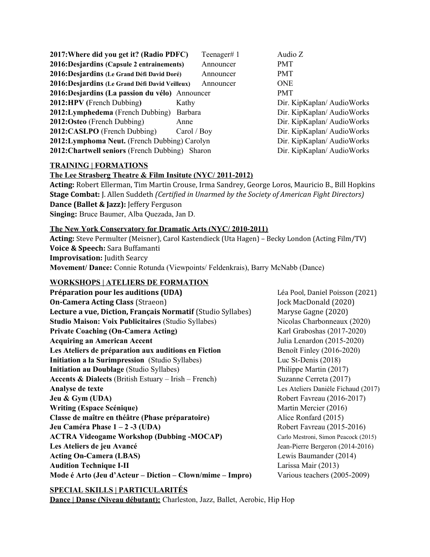| 2017: Where did you get it? (Radio PDFC)        |                | Teenager#1 | Audio Z                   |
|-------------------------------------------------|----------------|------------|---------------------------|
| 2016:Desjardins (Capsule 2 entrainements)       |                | Announcer  | PMT                       |
| 2016: Desjardins (Le Grand Défi David Doré)     |                | Announcer  | <b>PMT</b>                |
| 2016: Desjardins (Le Grand Défi David Veilleux) |                | Announcer  | <b>ONE</b>                |
| 2016:Desjardins (La passion du vélo) Announcer  |                |            | <b>PMT</b>                |
| <b>2012:HPV</b> (French Dubbing)                | Kathy          |            | Dir. KipKaplan/AudioWorks |
| <b>2012:Lymphedema</b> (French Dubbing)         | <b>Barbara</b> |            | Dir. KipKaplan/AudioWorks |
| 2012:Osteo (French Dubbing)                     | Anne           |            | Dir. KipKaplan/AudioWorks |
| 2012:CASLPO (French Dubbing)                    | Carol / Boy    |            | Dir. KipKaplan/AudioWorks |
| 2012: Lymphoma Neut. (French Dubbing) Carolyn   |                |            | Dir. KipKaplan/AudioWorks |
| 2012: Chartwell seniors (French Dubbing) Sharon |                |            | Dir. KipKaplan/AudioWorks |

## **TRAINING | FORMATIONS**

## **The Lee Strasberg Theatre & Film Insitute (NYC/ 2011-2012)**

**Acting:** Robert Ellerman, Tim Martin Crouse, Irma Sandrey, George Loros, Mauricio B., Bill Hopkins **Stage Combat:** J. Allen Suddeth *(Certified in Unarmed by the Society of American Fight Directors)* **Dance (Ballet & Jazz):** Jeffery Ferguson **Singing:** Bruce Baumer, Alba Quezada, Jan D.

# **The New York Conservatory for Dramatic Arts (NYC/ 2010-2011)**

**Acting:** Steve Permulter (Meisner), Carol Kastendieck (Uta Hagen) – Becky London (Acting Film/TV) **Voice & Speech:** Sara Buffamanti **Improvisation:** Judith Searcy **Movement/ Dance:** Connie Rotunda (Viewpoints/ Feldenkrais), Barry McNabb (Dance)

# **WORKSHOPS | ATELIERS DE FORMATION**

| <b>On-Camera Acting Class (Straeon)</b><br>Jock MacDonald (2020)                               |  |
|------------------------------------------------------------------------------------------------|--|
|                                                                                                |  |
| Lecture a vue, Diction, Français Normatif (Studio Syllabes)<br>Maryse Gagne (2020)             |  |
| <b>Studio Maison: Voix Publicitaires (Studio Syllabes)</b><br>Nicolas Charbonneaux (2020)      |  |
| <b>Private Coaching (On-Camera Acting)</b><br>Karl Graboshas (2017-2020)                       |  |
| <b>Acquiring an American Accent</b><br>Julia Lenardon (2015-2020)                              |  |
| Les Ateliers de préparation aux auditions en Fiction<br>Benoît Finley (2016-2020)              |  |
| Initiation a la Surimpression (Studio Syllabes)<br>Luc St-Denis $(2018)$                       |  |
| <b>Initiation au Doublage (Studio Syllabes)</b><br>Philippe Martin (2017)                      |  |
| <b>Accents &amp; Dialects</b> (British Estuary $-$ Irish $-$ French)<br>Suzanne Cerreta (2017) |  |
| Analyse de texte<br>Les Ateliers Danièle Fichaud (2017)                                        |  |
| Jeu & Gym (UDA)<br>Robert Favreau (2016-2017)                                                  |  |
| <b>Writing (Espace Scénique)</b><br>Martin Mercier (2016)                                      |  |
| Classe de maître en théâtre (Phase préparatoire)<br>Alice Ronfard (2015)                       |  |
| Jeu Caméra Phase 1 – 2 -3 (UDA)<br>Robert Favreau (2015-2016)                                  |  |
| <b>ACTRA Videogame Workshop (Dubbing-MOCAP)</b><br>Carlo Mestroni, Simon Peacock (2015)        |  |
| Les Ateliers de jeu Avancé<br>Jean-Pierre Bergeron (2014-2016)                                 |  |
| <b>Acting On-Camera (LBAS)</b><br>Lewis Baumander (2014)                                       |  |
| <b>Audition Technique I-II</b><br>Larissa Mair (2013)                                          |  |
| Mode é Arto (Jeu d'Acteur – Diction – Clown/mime – Impro)<br>Various teachers (2005-2009)      |  |

# **SPECIAL SKILLS | PARTICULARITÉS**

**Dance | Danse (Niveau débutant):** Charleston, Jazz, Ballet, Aerobic, Hip Hop